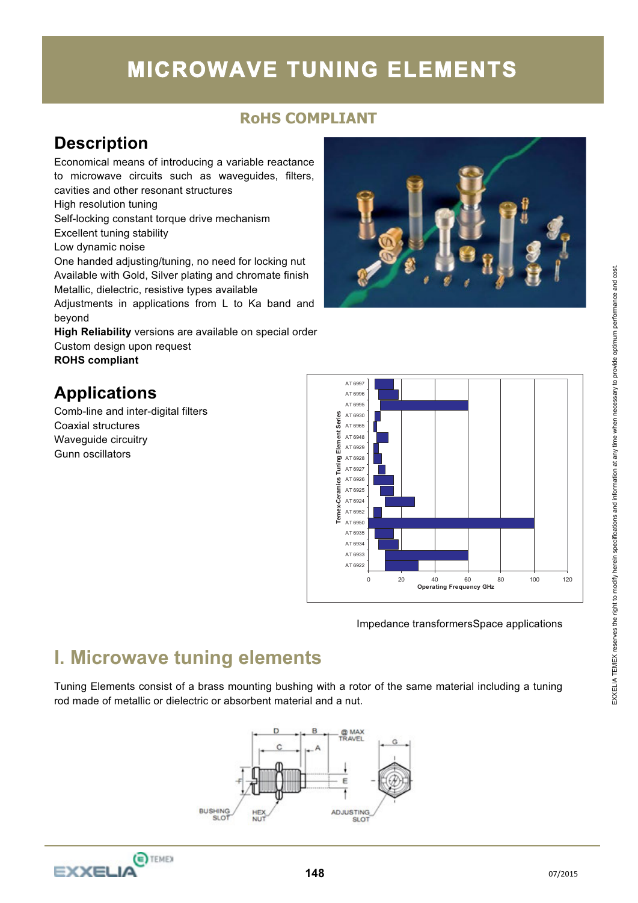# **MICROWAVE TUNING ELEMENTS**

### **RoHS COMPLIANT**

## **Description**

Economical means of introducing a variable reactance to microwave circuits such as waveguides, filters, cavities and other resonant structures High resolution tuning Self-locking constant torque drive mechanism Excellent tuning stability Low dynamic noise One handed adjusting/tuning, no need for locking nut Available with Gold, Silver plating and chromate finish Metallic, dielectric, resistive types available Adjustments in applications from L to Ka band and beyond **High Reliability** versions are available on special order Custom design upon request **ROHS compliant** 

## **Applications**

Comb-line and inter-digital filters Coaxial structures Waveguide circuitry Gunn oscillators





Impedance transformersSpace applications

## **I. Microwave tuning elements**

Tuning Elements consist of a brass mounting bushing with a rotor of the same material including a tuning rod made of metallic or dielectric or absorbent material and a nut.



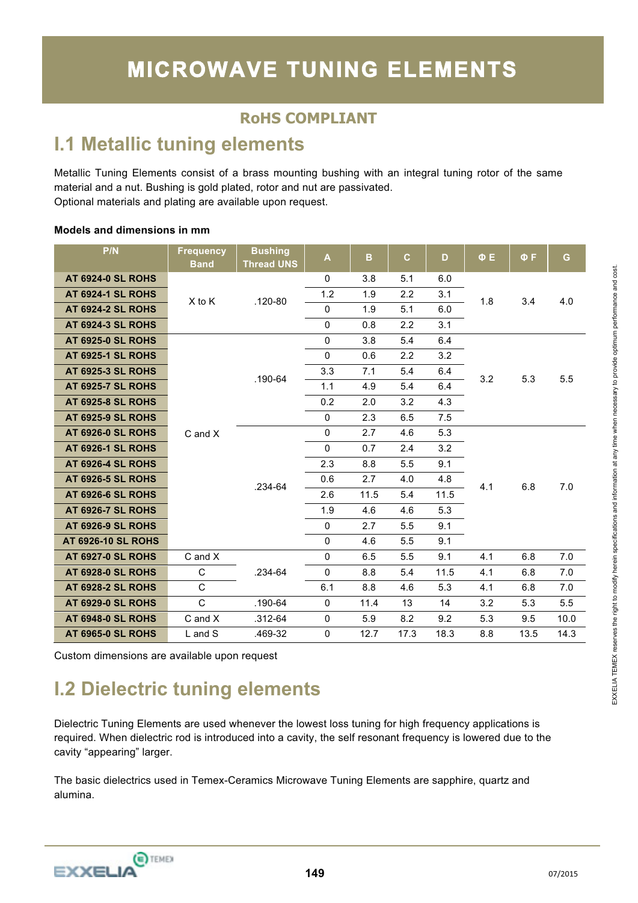## **I.1 Metallic tuning elements**

Metallic Tuning Elements consist of a brass mounting bushing with an integral tuning rotor of the same material and a nut. Bushing is gold plated, rotor and nut are passivated. Optional materials and plating are available upon request.

#### **Models and dimensions in mm**

| P/N                       | <b>Frequency</b><br><b>Band</b> | <b>Bushing</b><br><b>Thread UNS</b> | A            | B    | $\mathbf{C}$ | D    | $\Phi$ E | ΦF   | G    |
|---------------------------|---------------------------------|-------------------------------------|--------------|------|--------------|------|----------|------|------|
| <b>AT 6924-0 SL ROHS</b>  |                                 |                                     | 0            | 3.8  | 5.1          | 6.0  |          |      |      |
| <b>AT 6924-1 SL ROHS</b>  | $X$ to $K$                      | $.120 - 80$                         | 1.2          | 1.9  | 2.2          | 3.1  | 1.8      | 3.4  | 4.0  |
| <b>AT 6924-2 SL ROHS</b>  |                                 |                                     | $\mathbf 0$  | 1.9  | 5.1          | 6.0  |          |      |      |
| <b>AT 6924-3 SL ROHS</b>  |                                 |                                     | $\mathbf 0$  | 0.8  | 2.2          | 3.1  |          |      |      |
| <b>AT 6925-0 SL ROHS</b>  |                                 |                                     | $\pmb{0}$    | 3.8  | 5.4          | 6.4  |          |      |      |
| <b>AT 6925-1 SL ROHS</b>  |                                 |                                     | 0            | 0.6  | 2.2          | 3.2  |          |      |      |
| <b>AT 6925-3 SL ROHS</b>  |                                 | .190-64                             | 3.3          | 7.1  | 5.4          | 6.4  | 3.2      | 5.3  | 5.5  |
| <b>AT 6925-7 SL ROHS</b>  |                                 |                                     | 1.1          | 4.9  | 5.4          | 6.4  |          |      |      |
| <b>AT 6925-8 SL ROHS</b>  |                                 |                                     | 0.2          | 2.0  | 3.2          | 4.3  |          |      |      |
| <b>AT 6925-9 SL ROHS</b>  |                                 |                                     | $\mathbf 0$  | 2.3  | 6.5          | 7.5  |          |      |      |
| <b>AT 6926-0 SL ROHS</b>  | $C$ and $X$                     |                                     | $\mathbf 0$  | 2.7  | 4.6          | 5.3  |          | 6.8  |      |
| <b>AT 6926-1 SL ROHS</b>  |                                 |                                     | 0            | 0.7  | 2.4          | 3.2  | 4.1      |      |      |
| <b>AT 6926-4 SL ROHS</b>  |                                 |                                     | 2.3          | 8.8  | 5.5          | 9.1  |          |      |      |
| <b>AT 6926-5 SL ROHS</b>  |                                 | .234-64                             | 0.6          | 2.7  | 4.0          | 4.8  |          |      | 7.0  |
| <b>AT 6926-6 SL ROHS</b>  |                                 |                                     | 2.6          | 11.5 | 5.4          | 11.5 |          |      |      |
| <b>AT 6926-7 SL ROHS</b>  |                                 |                                     | 1.9          | 4.6  | 4.6          | 5.3  |          |      |      |
| <b>AT 6926-9 SL ROHS</b>  |                                 |                                     | $\mathbf{0}$ | 2.7  | 5.5          | 9.1  |          |      |      |
| <b>AT 6926-10 SL ROHS</b> |                                 |                                     | $\mathbf 0$  | 4.6  | 5.5          | 9.1  |          |      |      |
| <b>AT 6927-0 SL ROHS</b>  | $C$ and $X$                     |                                     | 0            | 6.5  | 5.5          | 9.1  | 4.1      | 6.8  | 7.0  |
| <b>AT 6928-0 SL ROHS</b>  | $\mathsf{C}$                    | .234-64                             | $\mathbf 0$  | 8.8  | 5.4          | 11.5 | 4.1      | 6.8  | 7.0  |
| <b>AT 6928-2 SL ROHS</b>  | $\mathsf{C}$                    |                                     | 6.1          | 8.8  | 4.6          | 5.3  | 4.1      | 6.8  | 7.0  |
| <b>AT 6929-0 SL ROHS</b>  | $\mathsf{C}$                    | .190-64                             | 0            | 11.4 | 13           | 14   | 3.2      | 5.3  | 5.5  |
| <b>AT 6948-0 SL ROHS</b>  | C and X                         | .312-64                             | $\mathbf 0$  | 5.9  | 8.2          | 9.2  | 5.3      | 9.5  | 10.0 |
| <b>AT 6965-0 SL ROHS</b>  | L and S                         | .469-32                             | 0            | 12.7 | 17.3         | 18.3 | 8.8      | 13.5 | 14.3 |

Custom dimensions are available upon request

## **I.2 Dielectric tuning elements**

Dielectric Tuning Elements are used whenever the lowest loss tuning for high frequency applications is required. When dielectric rod is introduced into a cavity, the self resonant frequency is lowered due to the cavity "appearing" larger.

The basic dielectrics used in Temex-Ceramics Microwave Tuning Elements are sapphire, quartz and alumina.

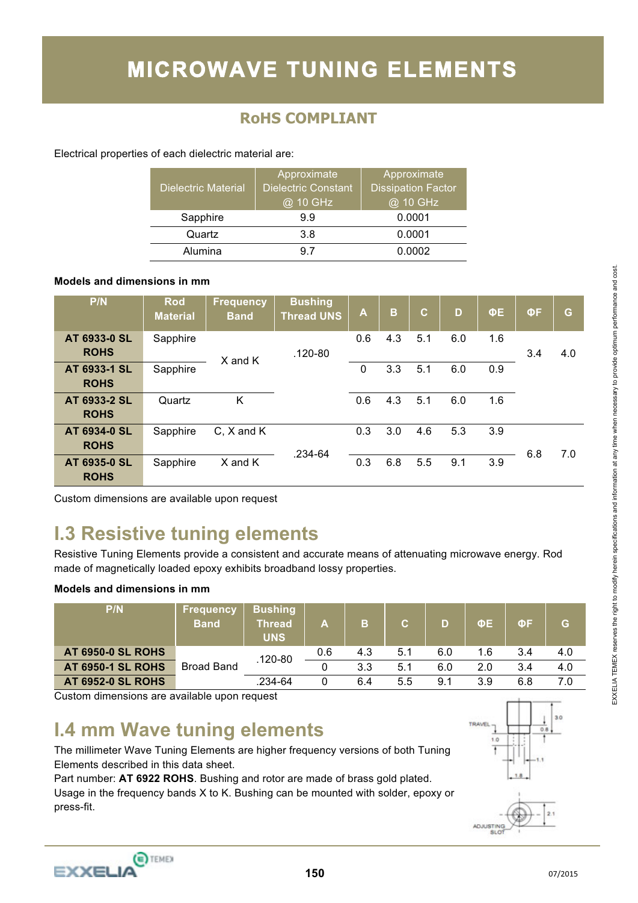Electrical properties of each dielectric material are:

| <b>Dielectric Material</b> | Approximate<br><b>Dielectric Constant</b><br>@ 10 GHz | Approximate<br><b>Dissipation Factor</b><br>@ 10 GHz |
|----------------------------|-------------------------------------------------------|------------------------------------------------------|
| Sapphire                   | 99                                                    | 0.0001                                               |
| Quartz                     | 3.8                                                   | 0.0001                                               |
| Alumina                    | 97                                                    | 0.0002                                               |

#### **Models and dimensions in mm**

| P/N                         | <b>Rod</b><br><b>Material</b> | <b>Frequency</b><br><b>Band</b> | <b>Bushing</b><br><b>Thread UNS</b> | Α   | B   | $\mathbf{C}$ | D   | ΦE  | ΦF  | G   |
|-----------------------------|-------------------------------|---------------------------------|-------------------------------------|-----|-----|--------------|-----|-----|-----|-----|
| AT 6933-0 SL<br><b>ROHS</b> | Sapphire                      | X and K                         | $.120 - 80$                         | 0.6 | 4.3 | 5.1          | 6.0 | 1.6 | 3.4 | 4.0 |
| AT 6933-1 SL<br><b>ROHS</b> | Sapphire                      |                                 |                                     | 0   | 3.3 | 5.1          | 6.0 | 0.9 |     |     |
| AT 6933-2 SL<br><b>ROHS</b> | Quartz                        | K                               |                                     | 0.6 | 4.3 | 5.1          | 6.0 | 1.6 |     |     |
| AT 6934-0 SL<br><b>ROHS</b> | Sapphire                      | C, X and K                      | .234-64                             | 0.3 | 3.0 | 4.6          | 5.3 | 3.9 | 6.8 | 7.0 |
| AT 6935-0 SL<br><b>ROHS</b> | Sapphire                      | X and K                         |                                     | 0.3 | 6.8 | 5.5          | 9.1 | 3.9 |     |     |

Custom dimensions are available upon request

## **I.3 Resistive tuning elements**

Resistive Tuning Elements provide a consistent and accurate means of attenuating microwave energy. Rod made of magnetically loaded epoxy exhibits broadband lossy properties.

#### **Models and dimensions in mm**

| P/N                      | <u> Frequency</u><br><b>Band</b> | <b>Bushing</b><br>Thread<br><b>UNS</b> | Α   | в   | $\mathbf{C}$ | D   | ΦE  | ΦF  | G   |
|--------------------------|----------------------------------|----------------------------------------|-----|-----|--------------|-----|-----|-----|-----|
| <b>AT 6950-0 SL ROHS</b> |                                  | .120-80                                | 0.6 | 4.3 | 5.1          | 6.0 | 1.6 | 3.4 | 4.0 |
| <b>AT 6950-1 SL ROHS</b> | <b>Broad Band</b>                |                                        |     | 3.3 | 5.1          | 6.0 | 2.0 | 3.4 | 4.0 |
| <b>AT 6952-0 SL ROHS</b> |                                  | .234-64                                |     | 6.4 | 5.5          | 9.1 | 3.9 | 6.8 | 7.0 |

Custom dimensions are available upon request

## **I.4 mm Wave tuning elements**

The millimeter Wave Tuning Elements are higher frequency versions of both Tuning Elements described in this data sheet.

Part number: **AT 6922 ROHS**. Bushing and rotor are made of brass gold plated. Usage in the frequency bands X to K. Bushing can be mounted with solder, epoxy or press-fit.





EXXELIA TEMEX reserves the right to modify herein specifications and information at any time when necessary to provide optimum performance and cost. EXXELIA TEMEX reserves the right to modify herein specifications and information at any time when necessary to provide optimum performance and cost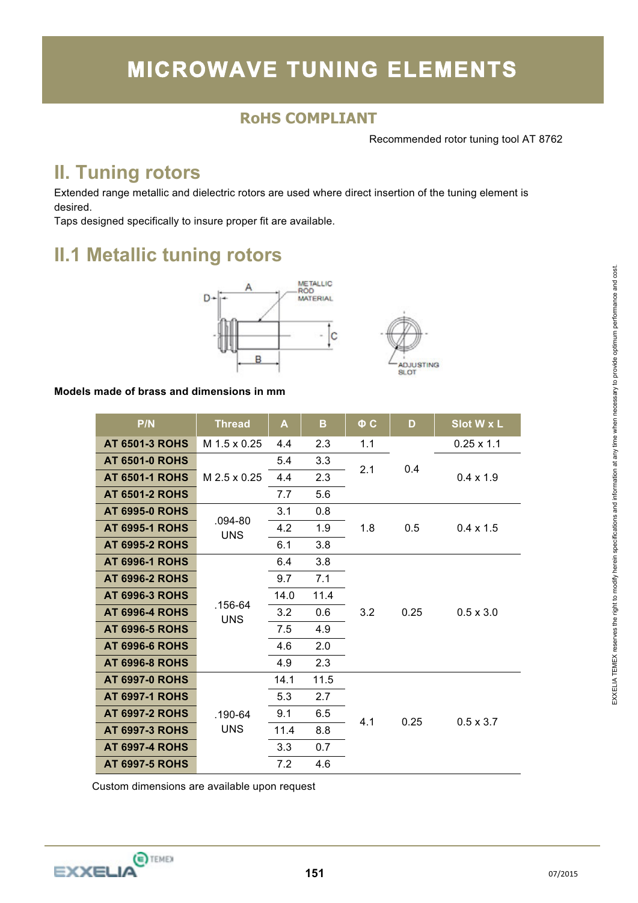Recommended rotor tuning tool AT 8762

**ADJUSTING SLOT** 

I

## **II. Tuning rotors**

Extended range metallic and dielectric rotors are used where direct insertion of the tuning element is desired.

Taps designed specifically to insure proper fit are available.

## **II.1 Metallic tuning rotors**



#### **Models made of brass and dimensions in mm**

| P/N                   | <b>Thread</b> | A    | в    | $\Phi$ C | D    | Slot W x L        |  |
|-----------------------|---------------|------|------|----------|------|-------------------|--|
| <b>AT 6501-3 ROHS</b> | M 1.5 x 0.25  | 4.4  | 2.3  | 1.1      |      | $0.25 \times 1.1$ |  |
| <b>AT 6501-0 ROHS</b> |               | 5.4  | 3.3  | 2.1      | 0.4  |                   |  |
| <b>AT 6501-1 ROHS</b> | M 2.5 x 0.25  | 4.4  | 2.3  |          |      | $0.4 \times 1.9$  |  |
| <b>AT 6501-2 ROHS</b> |               | 7.7  | 5.6  |          |      |                   |  |
| <b>AT 6995-0 ROHS</b> | $.094 - 80$   | 3.1  | 0.8  |          |      |                   |  |
| <b>AT 6995-1 ROHS</b> | <b>UNS</b>    | 4.2  | 1.9  | 1.8      | 0.5  | $0.4 \times 1.5$  |  |
| <b>AT 6995-2 ROHS</b> |               | 6.1  | 3.8  |          |      |                   |  |
| <b>AT 6996-1 ROHS</b> |               | 6.4  | 3.8  |          |      | $0.5 \times 3.0$  |  |
| <b>AT 6996-2 ROHS</b> |               | 9.7  | 7.1  | 3.2      | 0.25 |                   |  |
| <b>AT 6996-3 ROHS</b> | .156-64       | 14.0 | 11.4 |          |      |                   |  |
| <b>AT 6996-4 ROHS</b> | <b>UNS</b>    | 3.2  | 0.6  |          |      |                   |  |
| <b>AT 6996-5 ROHS</b> |               | 7.5  | 4.9  |          |      |                   |  |
| <b>AT 6996-6 ROHS</b> |               | 4.6  | 2.0  |          |      |                   |  |
| <b>AT 6996-8 ROHS</b> |               | 4.9  | 2.3  |          |      |                   |  |
| <b>AT 6997-0 ROHS</b> |               | 14.1 | 11.5 |          |      |                   |  |
| <b>AT 6997-1 ROHS</b> |               | 5.3  | 2.7  |          |      |                   |  |
| <b>AT 6997-2 ROHS</b> | .190-64       | 9.1  | 6.5  | 4.1      | 0.25 | $0.5 \times 3.7$  |  |
| <b>AT 6997-3 ROHS</b> | <b>UNS</b>    | 11.4 | 8.8  |          |      |                   |  |
| <b>AT 6997-4 ROHS</b> |               | 3.3  | 0.7  |          |      |                   |  |
| <b>AT 6997-5 ROHS</b> |               | 7.2  | 4.6  |          |      |                   |  |

Custom dimensions are available upon request

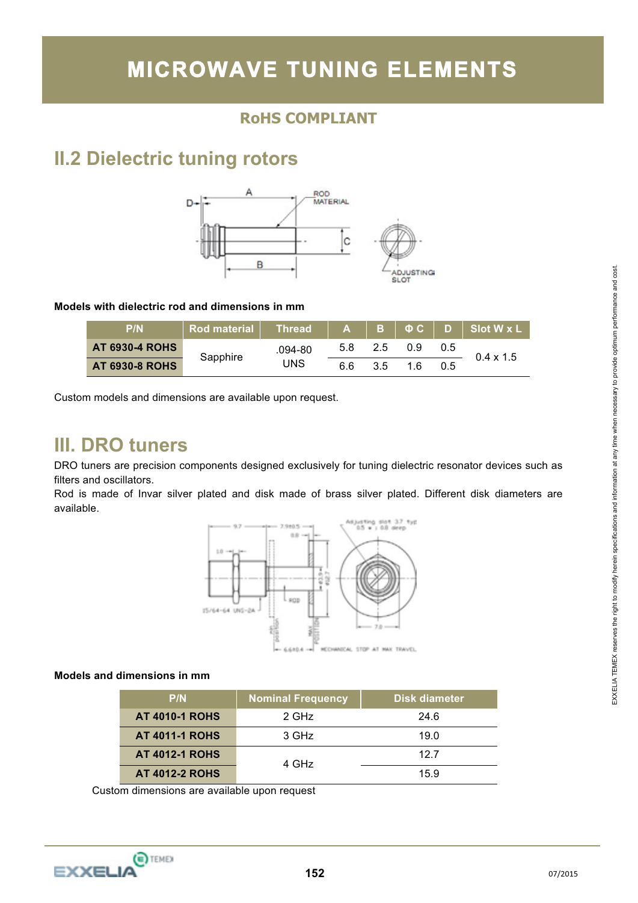# **MICROWAVE TUNING ELEMENTS**

### **RoHS COMPLIANT**

## **II.2 Dielectric tuning rotors**



#### **Models with dielectric rod and dimensions in mm**

| P/N                   | $Rod$ material $\vert$ Thread $\vert$ A B $\vert$ $\Phi$ C $\vert$ D $\vert$ Slot W x L $\vert$ |             |     |     |     |     |                  |  |
|-----------------------|-------------------------------------------------------------------------------------------------|-------------|-----|-----|-----|-----|------------------|--|
| <b>AT 6930-4 ROHS</b> |                                                                                                 | $.094 - 80$ | 5.8 | 2.5 | 09. | 0.5 | $0.4 \times 1.5$ |  |
| <b>AT 6930-8 ROHS</b> | Sapphire                                                                                        | UNS         | 6.6 | 3.5 | 1 6 | 0.5 |                  |  |

Custom models and dimensions are available upon request.

### **III. DRO tuners**

DRO tuners are precision components designed exclusively for tuning dielectric resonator devices such as filters and oscillators.

Rod is made of Invar silver plated and disk made of brass silver plated. Different disk diameters are available.



#### **Models and dimensions in mm**

| P/N                   | <b>Nominal Frequency</b> | Disk diameter |
|-----------------------|--------------------------|---------------|
| <b>AT 4010-1 ROHS</b> | $2$ GHz                  | 24.6          |
| <b>AT 4011-1 ROHS</b> | 3 GHz                    | 19.0          |
| <b>AT 4012-1 ROHS</b> | 4 GHz                    | 12.7          |
| <b>AT 4012-2 ROHS</b> |                          | 159           |

Custom dimensions are available upon request

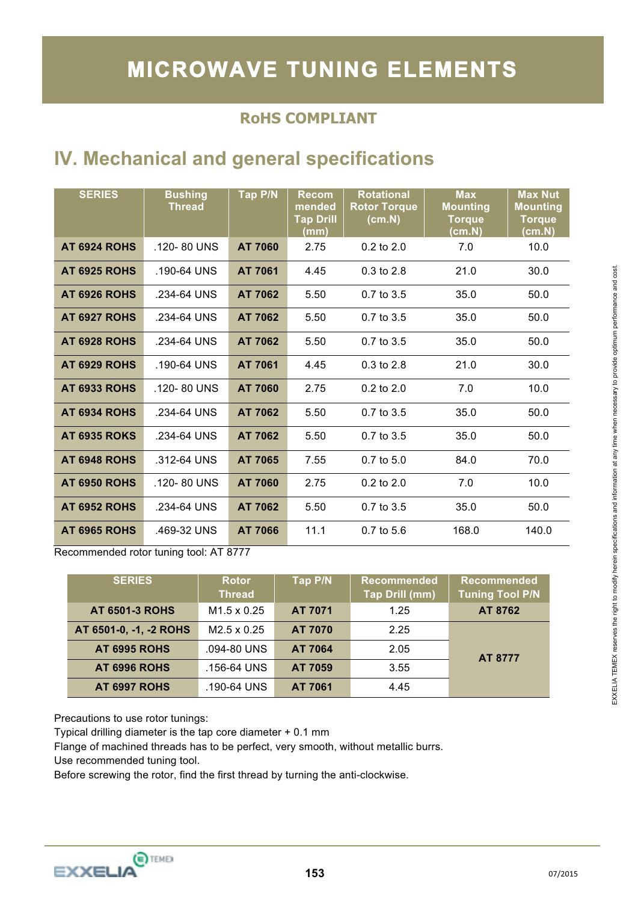## **IV. Mechanical and general specifications**

| <b>SERIES</b>       | <b>Bushing</b><br><b>Thread</b> | Tap P/N | <b>Recom</b><br>mended<br><b>Tap Drill</b><br>(mm) | <b>Rotational</b><br><b>Rotor Torque</b><br>(cm.N) | <b>Max</b><br><b>Mounting</b><br><b>Torque</b><br>(cm.N) | <b>Max Nut</b><br><b>Mounting</b><br><b>Torque</b><br>(cm.N) |
|---------------------|---------------------------------|---------|----------------------------------------------------|----------------------------------------------------|----------------------------------------------------------|--------------------------------------------------------------|
| AT 6924 ROHS        | .120-80 UNS                     | AT 7060 | 2.75                                               | $0.2$ to $2.0$                                     | 7.0                                                      | 10.0                                                         |
| <b>AT 6925 ROHS</b> | $.190 - 64$ UNS                 | AT 7061 | 4.45                                               | $0.3 \text{ to } 2.8$                              | 21.0                                                     | 30.0                                                         |
| AT 6926 ROHS        | .234-64 UNS                     | AT 7062 | 5.50                                               | $0.7$ to $3.5$                                     | 35.0                                                     | 50.0                                                         |
| AT 6927 ROHS        | .234-64 UNS                     | AT 7062 | 5.50                                               | $0.7$ to $3.5$                                     | 35.0                                                     | 50.0                                                         |
| AT 6928 ROHS        | .234-64 UNS                     | AT 7062 | 5.50                                               | $0.7$ to $3.5$                                     | 35.0                                                     | 50.0                                                         |
| AT 6929 ROHS        | $.190 - 64$ UNS                 | AT 7061 | 4.45                                               | $0.3$ to $2.8$                                     | 21.0                                                     | 30.0                                                         |
| <b>AT 6933 ROHS</b> | $.120 - 80$ UNS                 | AT 7060 | 2.75                                               | $0.2$ to $2.0$                                     | 7.0                                                      | 10.0                                                         |
| AT 6934 ROHS        | .234-64 UNS                     | AT 7062 | 5.50                                               | $0.7$ to $3.5$                                     | 35.0                                                     | 50.0                                                         |
| <b>AT 6935 ROKS</b> | .234-64 UNS                     | AT 7062 | 5.50                                               | $0.7$ to $3.5$                                     | 35.0                                                     | 50.0                                                         |
| AT 6948 ROHS        | .312-64 UNS                     | AT 7065 | 7.55                                               | $0.7$ to $5.0$                                     | 84.0                                                     | 70.0                                                         |
| <b>AT 6950 ROHS</b> | $.120 - 80$ UNS                 | AT 7060 | 2.75                                               | $0.2$ to $2.0$                                     | 7.0                                                      | 10.0                                                         |
| <b>AT 6952 ROHS</b> | .234-64 UNS                     | AT 7062 | 5.50                                               | $0.7$ to $3.5$                                     | 35.0                                                     | 50.0                                                         |
| <b>AT 6965 ROHS</b> | .469-32 UNS                     | AT 7066 | 11.1                                               | $0.7 \text{ to } 5.6$                              | 168.0                                                    | 140.0                                                        |

Recommended rotor tuning tool: AT 8777

| <b>SERIES</b>          | <b>Rotor</b><br><b>Thread</b> | Tap P/N        | <b>Recommended</b><br><b>Tap Drill (mm)</b> | <b>Recommended</b><br><b>Tuning Tool P/N</b> |
|------------------------|-------------------------------|----------------|---------------------------------------------|----------------------------------------------|
| <b>AT 6501-3 ROHS</b>  | $M1.5 \times 0.25$            | <b>AT 7071</b> | 1.25                                        | AT 8762                                      |
| AT 6501-0, -1, -2 ROHS | $M2.5 \times 0.25$            | <b>AT 7070</b> | 2.25                                        |                                              |
| <b>AT 6995 ROHS</b>    | .094-80 UNS                   | AT 7064        | 2.05                                        | <b>AT 8777</b>                               |
| <b>AT 6996 ROHS</b>    | .156-64 UNS                   | AT 7059        | 3.55                                        |                                              |
| AT 6997 ROHS           | .190-64 UNS                   | AT 7061        | 4.45                                        |                                              |

Precautions to use rotor tunings:

Typical drilling diameter is the tap core diameter + 0.1 mm

Flange of machined threads has to be perfect, very smooth, without metallic burrs.

Use recommended tuning tool.

Before screwing the rotor, find the first thread by turning the anti-clockwise.